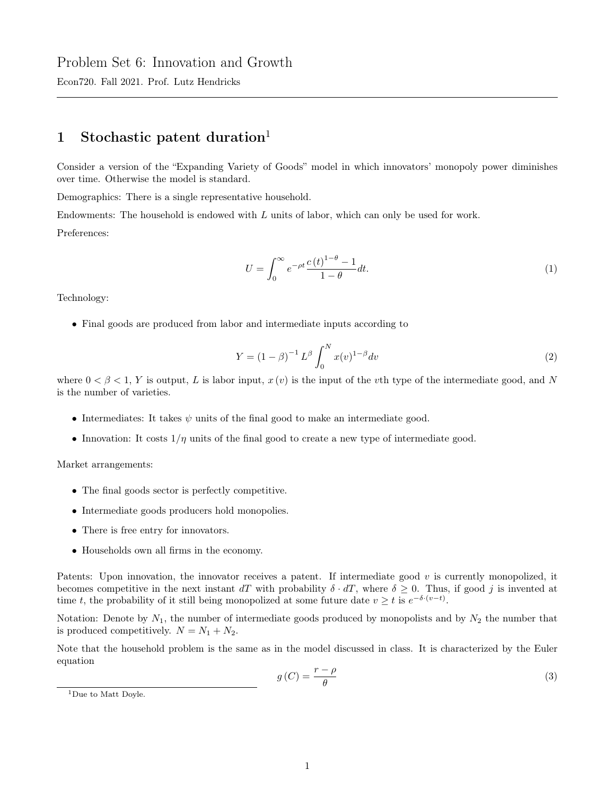## Problem Set 6: Innovation and Growth

Econ720. Fall 2021. Prof. Lutz Hendricks

## 1 Stochastic patent duration<sup>1</sup>

Consider a version of the "Expanding Variety of Goods" model in which innovators' monopoly power diminishes over time. Otherwise the model is standard.

Demographics: There is a single representative household.

Endowments: The household is endowed with L units of labor, which can only be used for work.

Preferences:

$$
U = \int_0^\infty e^{-\rho t} \frac{c(t)^{1-\theta} - 1}{1-\theta} dt.
$$
 (1)

Technology:

• Final goods are produced from labor and intermediate inputs according to

$$
Y = (1 - \beta)^{-1} L^{\beta} \int_0^N x(v)^{1 - \beta} dv \tag{2}
$$

where  $0 < \beta < 1$ , Y is output, L is labor input,  $x(v)$  is the input of the vth type of the intermediate good, and N is the number of varieties.

- Intermediates: It takes  $\psi$  units of the final good to make an intermediate good.
- Innovation: It costs  $1/\eta$  units of the final good to create a new type of intermediate good.

Market arrangements:

- The final goods sector is perfectly competitive.
- Intermediate goods producers hold monopolies.
- There is free entry for innovators.
- Households own all firms in the economy.

Patents: Upon innovation, the innovator receives a patent. If intermediate good  $v$  is currently monopolized, it becomes competitive in the next instant dT with probability  $\delta \cdot dT$ , where  $\delta \geq 0$ . Thus, if good j is invented at time t, the probability of it still being monopolized at some future date  $v \geq t$  is  $e^{-\delta \cdot (v-t)}$ .

Notation: Denote by  $N_1$ , the number of intermediate goods produced by monopolists and by  $N_2$  the number that is produced competitively.  $N = N_1 + N_2$ .

Note that the household problem is the same as in the model discussed in class. It is characterized by the Euler equation

$$
g\left(C\right) = \frac{r - \rho}{\theta} \tag{3}
$$

<sup>1</sup>Due to Matt Doyle.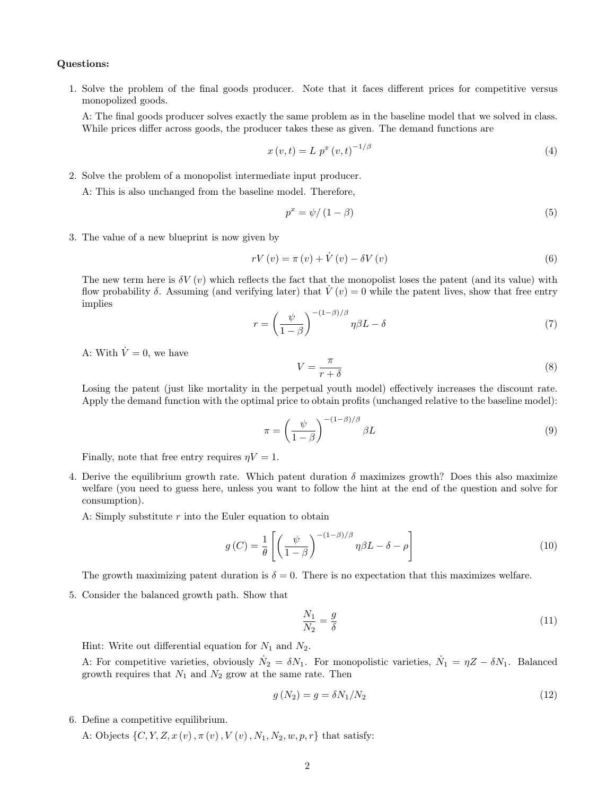## Questions:

1. Solve the problem of the final goods producer. Note that it faces different prices for competitive versus monopolized goods.

A: The final goods producer solves exactly the same problem as in the baseline model that we solved in class. While prices differ across goods, the producer takes these as given. The demand functions are

$$
x(v,t) = L p^x (v,t)^{-1/\beta}
$$
 (4)

2. Solve the problem of a monopolist intermediate input producer.

A: This is also unchanged from the baseline model. Therefore,

$$
p^x = \psi / \left(1 - \beta\right) \tag{5}
$$

3. The value of a new blueprint is now given by

$$
rV(v) = \pi(v) + \dot{V}(v) - \delta V(v)
$$
\n<sup>(6)</sup>

The new term here is  $\delta V(v)$  which reflects the fact that the monopolist loses the patent (and its value) with flow probability  $\delta$ . Assuming (and verifying later) that  $V(v) = 0$  while the patent lives, show that free entry implies

$$
r = \left(\frac{\psi}{1-\beta}\right)^{-(1-\beta)/\beta} \eta \beta L - \delta \tag{7}
$$

A: With  $\dot{V} = 0$ , we have

$$
V = \frac{\pi}{r + \delta} \tag{8}
$$

Losing the patent (just like mortality in the perpetual youth model) effectively increases the discount rate. Apply the demand function with the optimal price to obtain profits (unchanged relative to the baseline model):

$$
\pi = \left(\frac{\psi}{1-\beta}\right)^{-(1-\beta)/\beta} \beta L \tag{9}
$$

Finally, note that free entry requires  $\eta V = 1$ .

4. Derive the equilibrium growth rate. Which patent duration  $\delta$  maximizes growth? Does this also maximize welfare (you need to guess here, unless you want to follow the hint at the end of the question and solve for consumption).

A: Simply substitute  $r$  into the Euler equation to obtain

$$
g\left(C\right) = \frac{1}{\theta} \left[ \left( \frac{\psi}{1-\beta} \right)^{-(1-\beta)/\beta} \eta \beta L - \delta - \rho \right] \tag{10}
$$

The growth maximizing patent duration is  $\delta = 0$ . There is no expectation that this maximizes welfare.

5. Consider the balanced growth path. Show that

$$
\frac{N_1}{N_2} = \frac{g}{\delta} \tag{11}
$$

Hint: Write out differential equation for  $N_1$  and  $N_2$ .

A: For competitive varieties, obviously  $\dot{N}_2 = \delta N_1$ . For monopolistic varieties,  $\dot{N}_1 = \eta Z - \delta N_1$ . Balanced growth requires that  $N_1$  and  $N_2$  grow at the same rate. Then

$$
g(N_2) = g = \delta N_1 / N_2 \tag{12}
$$

6. Define a competitive equilibrium.

A: Objects  $\{C, Y, Z, x(v), \pi(v), V(v), N_1, N_2, w, p, r\}$  that satisfy: